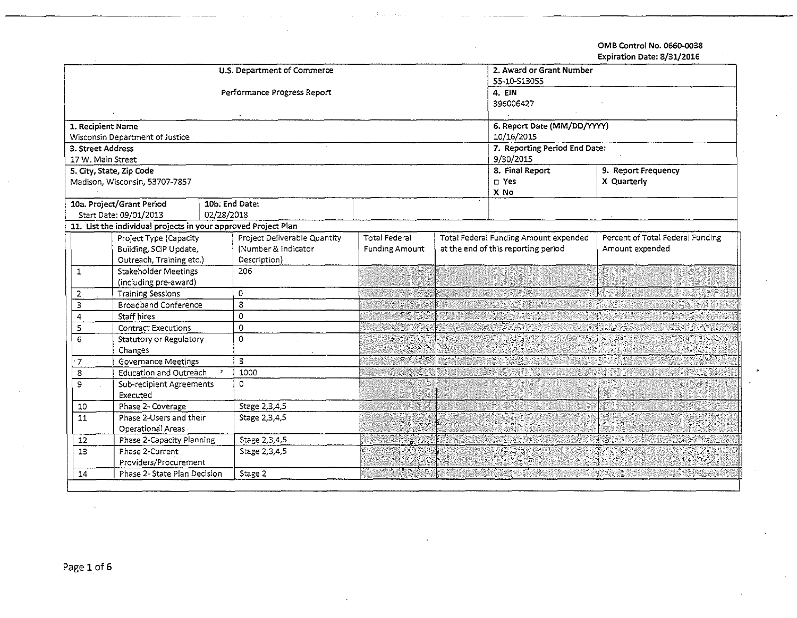OMB Control No. 0660-D038 Expiration Date: 8/31/2016

|                       |                                                                                          | U.S. Department of Commerce         | 2. Award or Grant Number    |                               |                                                                              |                                  |  |
|-----------------------|------------------------------------------------------------------------------------------|-------------------------------------|-----------------------------|-------------------------------|------------------------------------------------------------------------------|----------------------------------|--|
|                       |                                                                                          |                                     | 55-10-S13055                |                               |                                                                              |                                  |  |
|                       |                                                                                          | Performance Progress Report         | 4. EIN                      |                               |                                                                              |                                  |  |
|                       |                                                                                          |                                     | 396006427                   |                               |                                                                              |                                  |  |
|                       |                                                                                          |                                     |                             |                               |                                                                              |                                  |  |
| 1. Recipient Name     |                                                                                          |                                     | 6. Report Date (MM/DD/YYYY) |                               |                                                                              |                                  |  |
|                       | Wisconsin Department of Justice                                                          |                                     |                             |                               | 10/16/2015                                                                   |                                  |  |
| 3. Street Address     |                                                                                          |                                     |                             | 7. Reporting Period End Date: |                                                                              |                                  |  |
| 17 W. Main Street     |                                                                                          |                                     |                             | 9/30/2015                     |                                                                              |                                  |  |
|                       | 5. City, State, Zip Code                                                                 |                                     |                             | 8. Final Report               | 9. Report Frequency                                                          |                                  |  |
|                       | Madison, Wisconsin, 53707-7857                                                           |                                     |                             |                               | D Yes                                                                        | X Quarterly                      |  |
|                       |                                                                                          | 10b. End Date:                      |                             |                               | X No                                                                         |                                  |  |
|                       | 10a. Project/Grant Period<br>02/28/2018                                                  |                                     |                             |                               |                                                                              |                                  |  |
|                       | Start Date: 09/01/2013<br>11. List the individual projects in your approved Project Plan |                                     |                             |                               |                                                                              |                                  |  |
|                       |                                                                                          |                                     |                             |                               |                                                                              |                                  |  |
|                       | Project Type (Capacity                                                                   | Project Deliverable Quantity        | <b>Total Federal</b>        |                               | Total Federal Funding Amount expended<br>at the end of this reporting period | Percent of Total Federal Funding |  |
|                       | Building, SCIP Update,                                                                   | (Number & Indicator<br>Description) | <b>Funding Amount</b>       |                               |                                                                              | Amount expended                  |  |
| $\mathbf{1}$          | Outreach, Training etc.)<br>Stakeholder Meetings                                         | 206                                 |                             |                               |                                                                              |                                  |  |
|                       | (including pre-award)                                                                    |                                     |                             |                               |                                                                              |                                  |  |
| 2                     | <b>Training Sessions</b>                                                                 | $\mathbf 0$                         |                             |                               |                                                                              |                                  |  |
| 3                     | Broadband Conference                                                                     | 8                                   |                             |                               |                                                                              |                                  |  |
| 4                     | <b>Staff hires</b>                                                                       | 0                                   |                             |                               |                                                                              |                                  |  |
| 5                     | <b>Contract Executions</b>                                                               | $\mathbf 0$                         |                             |                               |                                                                              |                                  |  |
| 6                     | Statutory or Regulatory                                                                  | 0                                   |                             |                               |                                                                              |                                  |  |
| Changes               |                                                                                          |                                     |                             |                               |                                                                              |                                  |  |
| $\cdot$ 7             | <b>Governance Meetings</b>                                                               | 3                                   |                             |                               |                                                                              |                                  |  |
| 8                     | Education and Outreach                                                                   | 1000                                |                             |                               | W.                                                                           |                                  |  |
| 9                     | Sub-recipient Agreements                                                                 | 0                                   |                             |                               |                                                                              |                                  |  |
|                       | Executed                                                                                 |                                     |                             |                               |                                                                              |                                  |  |
| ${\bf 10}$            | Phase 2- Coverage                                                                        | Stage 2,3,4,5                       |                             |                               |                                                                              |                                  |  |
| $\overline{11}$       | Phase 2-Users and their                                                                  | Stage 2,3,4,5                       |                             |                               |                                                                              |                                  |  |
|                       | Operational Areas                                                                        |                                     |                             |                               |                                                                              |                                  |  |
| $12\,$                | Phase 2-Capacity Planning                                                                | Stage 2,3,4.5                       |                             |                               |                                                                              |                                  |  |
| 13                    | Phase 2-Current                                                                          | Stage 2,3,4,5                       |                             |                               |                                                                              |                                  |  |
| Providers/Procurement |                                                                                          |                                     |                             |                               |                                                                              |                                  |  |
| 14                    | Phase 2- State Plan Decision                                                             | Stage 2                             |                             |                               |                                                                              |                                  |  |
|                       |                                                                                          |                                     |                             |                               |                                                                              |                                  |  |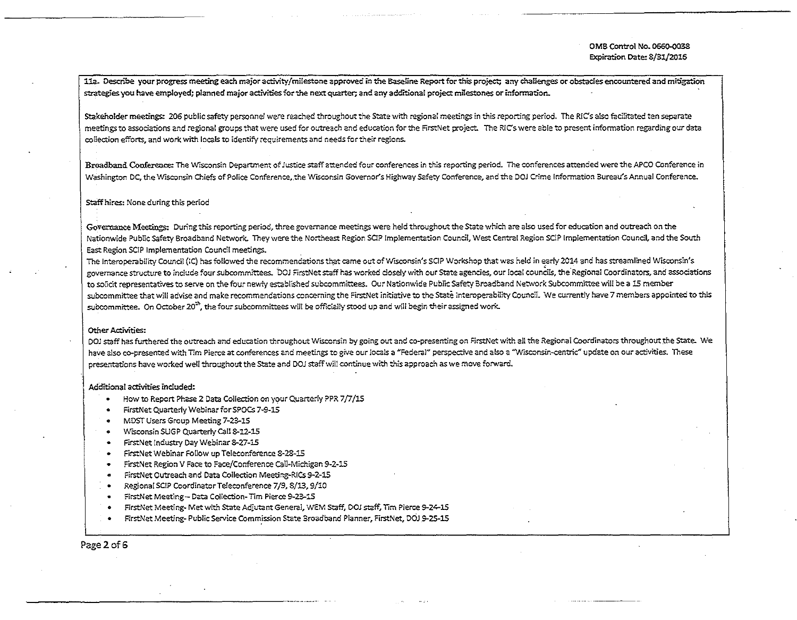11a. Describe your progress meeting each major activity/milestone approved in the Baseline Report for this project; any challenges or obstacles encountered and mitigation strategies you have employed; planned major activities for the next quarter; and any additional project milestones or information.

Stakeholder meetings: 206 public safety personnel were reached throughout the State with regional meetings in this reporting period. The RIC's also facilitated ten separate meetings to associations and regional groups that were used for outreach and education for the FirstNet project. The RIC's were able to present information regarding our data collection efforts, and work with locals to identify requirements and needs for their regions.

Broadband Conference: The Wisconsin Department of Justice staff attended four conferences in this reporting period. The conferences attended were the APCO Conference in Washington DC, the Wisconsin Chiefs of Police Conference, the Wisconsin Governor's Highway Safety Conference, and the DOJ Crime Information Bureau's Annual Conference.

## Staff hires: None during this period

Governance Meetings: During this reporting period, three governance meetings were held throughout the State which are also used for education and outreach on the Nationwide Public safety Broadband Network. They were the Northeast Region SOP Implementation Counci[, West Central Region SC!P Implementation Council, and the South East Region SCI? Implementation Council meetings.

The Interoperability Council (IC) has followed the recommendations that came out of Wisconsin's SCIP Workshop that was held in early 2014 and has streamlined Wisconsin's governance structure to include four subcommittees. DOJ FirstNet staff has worked closely with our State agencies, our local councils, the Regional Coordinators, and associations to solicit representatives to serve on the four newly established subcommittees. Our Nationwide Public Safety Broadband Network Subcommittee will be a 15 member subcommittee that will advise and make recommendations concerning the FirstNet initiative to the State Interoperability Council. We currently have 7 members appointed to this subcommittee. On October 20 $^{\rm th}$ , the four subcommittees will be officially stood up and will begin their assigned work.

## Other Activities:

DOJ staff has furthered the outreach and education throughout Wisconsin by going out and co-presenting on FirstNet with all the Regional Coordinators throughout the State. We have also co-presented with Tim Pierce at conferences and meetings to give our locals a "Federal" perspective and also a "Wisconsin-centric" update on our activities. These presentations have worked weU throughout the State and DOJ staff will continue with this approach as we move forward.

## Additional activities included:

- How to Report Phase 2 Data Collection on your Quarterly PPR 7/7/15
- FirstNet Quarterly WebinarforSPOCs 7~9~15
- MDST Users Group Meeting 7-23-15

------------------···-···············

- Wisconsin SUGP Quarterly Call 8-12-15
- FirstNet Industry Day Webinar 8-27-15
- FirstNet Webinar Follow up Teleconference S-23-15
- FirstNet Region V Face to Face/Conference call-Michigan 9-2-15
- FirstNet Outreach and Data Collection Meeting-RICs 9~2~15
- Regional SCIP Coordinator Teleconference 7/9, 8/13, 9/10
- firstNet Meeting- Data Coltection~ Tim Pierce 9-23-15
- FirstNet Meeting~ Met with State Adjutant General, WEM Staff, DOJ staff, Tim Pierce 9-24-15
- FirstNet Meeting- Public Service Commission State Broadband Planner, FirstNet, DOJ 9-25-15

Page2of6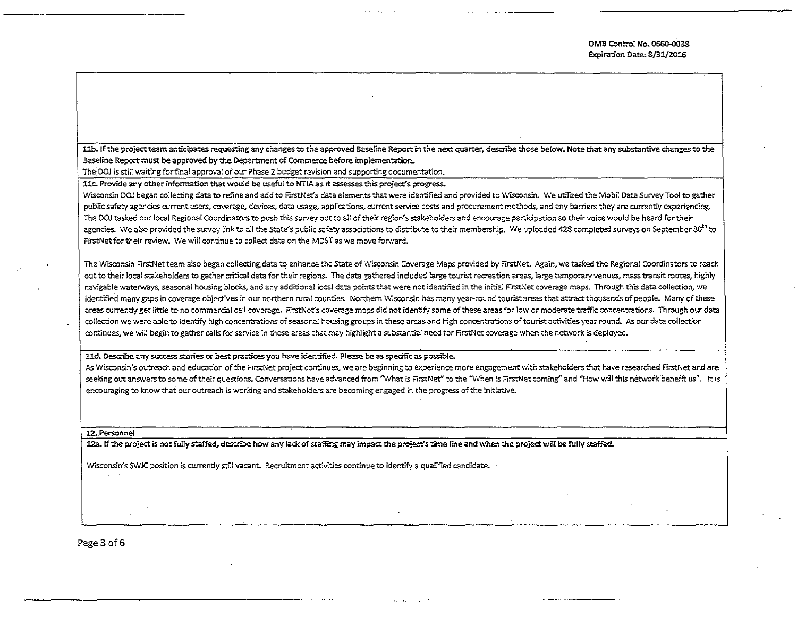OMB Control No. 0660-0038 Expiration Date: 8/31/2016

11b. If the project team anticipates requesting any changes to the approved Baseline Report in the next quarter, describe those below. Note that any substantive changes to the Baseline Report must be approved by the Department of COmmerce before implementation.

The DOJ is still waiting for final approval of our Phase 2 budget revision and supporting documentation.

11c. Provide any other information that would be useful to NTIA as it assesses this project's progress.

Wisconsin DOJ began collecting data to refine and add to FirstNet's data elements that were identified and provided to Wisconsin. We utilized the Mobil Data Survey Tool to gather public safety agencies current users, coverage, devices, data usage, applications, current service costs and procurement methods, and any barriers they are currently experiencing. The DOJ tasked our local Regional Coordinators to push this survey out to all of their region's stakeholders and encourage participation so their voice would be heard for their agencies. We also provided the survey link to all the State's public safety associations to distribute to their membership. We uploaded 428 completed surveys on September 30<sup>th</sup> to FirstNet for their review. We will continue to collect data on the MDST as we move forward.

The Wisconsin FirstNet team also began collecting data to enhance the State of Wisconsin Coverage Maps provided by FirstNet. Again, we tasked the Regional Coordinators to reach out to their local stakeholders to gather critical data for their regions. The data gathered included large tourist recreation areas, large temporary venues, mass transit routes, highly navigable waterways, seasonal housing blocks, and any additional local data points that were not identified in the initial FirstNet coverage maps. Through this data collection, we identified many gaps in coverage objectives in our northern rural counties. Northern Wisconsin has many year-round tourist areas that attract thousands of people. Many of these areas currently get little to no commercial cell coverage. FirstNet's coverage maps did not identify some of these areas for low or moderate traffic concentrations. Through our data collection we were able to identify high concentrations of seasonal housing groups in these areas and high concentrations of tourist activities year round. As our data collection continues. we will begin to gatherca!ls for service in these areas that may highlight a substantial need for FirstNet coverage when the network ts deployed.

11d. Describe any success stories or best practices you have identified. Please be as specific as possible.

As Wisconsin's outreach and education of the FirstNet project continues, we are beginning to experience more engagement with stakeholders that have researched FirstNet and are seeking out answers to some of their questions. Conversations have advanced from "What is FirstNet" to the "When is FirstNet coming" and "How will this network benefit us". It is encouraging to know that our outreach is working and stakeholders are becoming engaged in the progress of the initiative.

12.. Personnel

12a. If the project is not fully staffed, describe how any lack of staffing may impact the project's time line and when the project will be fully staffed.

Wisconsin's SWIC position is currently still vacant. Recruitment activities continue to identify a qualified candidate.

Page 3 of 6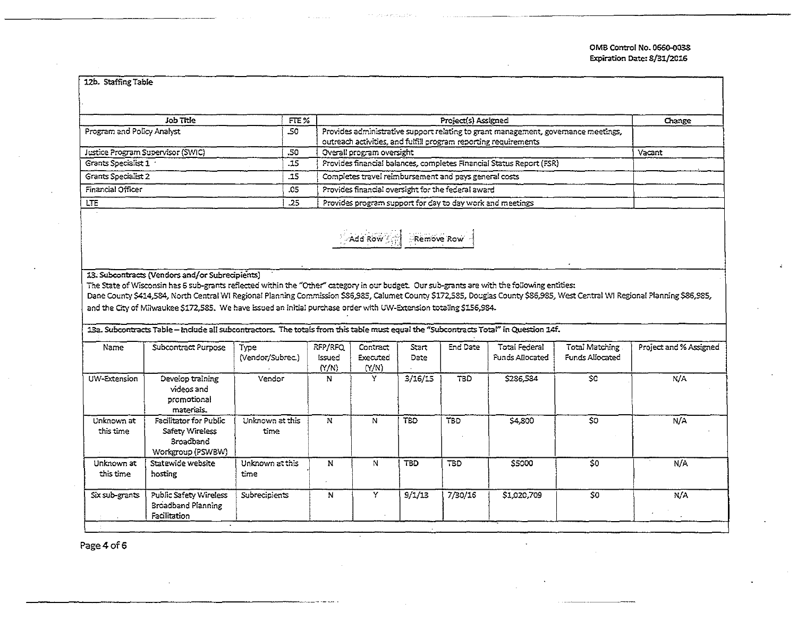| Job Title                         | FTE%  | Project(s) Assigned                                                                                                                                   | Change |
|-----------------------------------|-------|-------------------------------------------------------------------------------------------------------------------------------------------------------|--------|
| Program and Policy Analyst        | -50   | Provides administrative support relating to grant management, governance meetings,<br>outreach activities, and fulfill program reporting requirements |        |
| Justice Program Supervisor (SWIC) | .50   | Overall program oversight                                                                                                                             | Vacant |
| Grants Specialist 1               | -15   | Provides financial balances, completes Financial Status Report (FSR)                                                                                  |        |
| Grants Specialist 2               | $-15$ | Completes travel reimbursement and pays general costs                                                                                                 |        |
| Financial Officer                 | .05   | Provides financial oversight for the federal award                                                                                                    |        |
| LTE.                              | .25   | Provides program support for day to day work and meetings                                                                                             |        |

13. Subcontracts (Vendors and/or Subrecipients)

The State of Wisconsin has 6 sub-grants reflected within the "Other" category in our budget. Our sub-grants are with the following entities:

Dane County \$414,584, North Central Wi Regional Planning Commission \$86,985, Calumet County \$172,585, Douglas County \$86,985, West Central WI Regional Planning \$86,985, and the City of Milwaukee \$172,585. We have issued an initial purchase order with UW-Extension totaling \$156,984.

13a. Subcontracts Table - Include all subcontractors. The totals from this table must equal the "Subcontracts Total" in Question 14f.

| Name                    | Subcontract Purpose                                                         | Type<br>(Vendor/Subrec.) | RFP/RFQ<br>issued<br>(N/N) | Contract<br><b>Executed</b><br>(Y/N) | Start<br>Date | End Date   | Total Federal<br>Funds Allocated | Total Matching<br>Funds Allocated | Project and % Assigned |
|-------------------------|-----------------------------------------------------------------------------|--------------------------|----------------------------|--------------------------------------|---------------|------------|----------------------------------|-----------------------------------|------------------------|
| UW-Extension            | Develop training<br>videos and<br>promotional<br>materials.                 | Vendor                   | N                          | Y                                    | 3/16/15       | TBD.       | \$286,584                        | \$0                               | N/A                    |
| Unknown at<br>this time | Facilitator for Public<br>Safety Wireless<br>Broadband<br>Workgroup (PSWBW) | Unknown at this<br>time  | N                          | N                                    | TBD           | <b>TBD</b> | \$4,800                          | \$0                               | N/A                    |
| Unknown at<br>this time | Statewide website<br>hosting                                                | Unknown at this<br>time  | N                          | N                                    | <b>TBD</b>    | TBD.       | \$5000                           | \$0                               | N/A                    |
| Six sub-grants          | Public Safety Wireless<br>Broadband Planning<br>Facilitation                | Subrecipients            | N                          | Y                                    | 9/1/13        | 7/30/16    | \$1,020,709                      | \$0                               | N/A                    |

Page 4 of 6